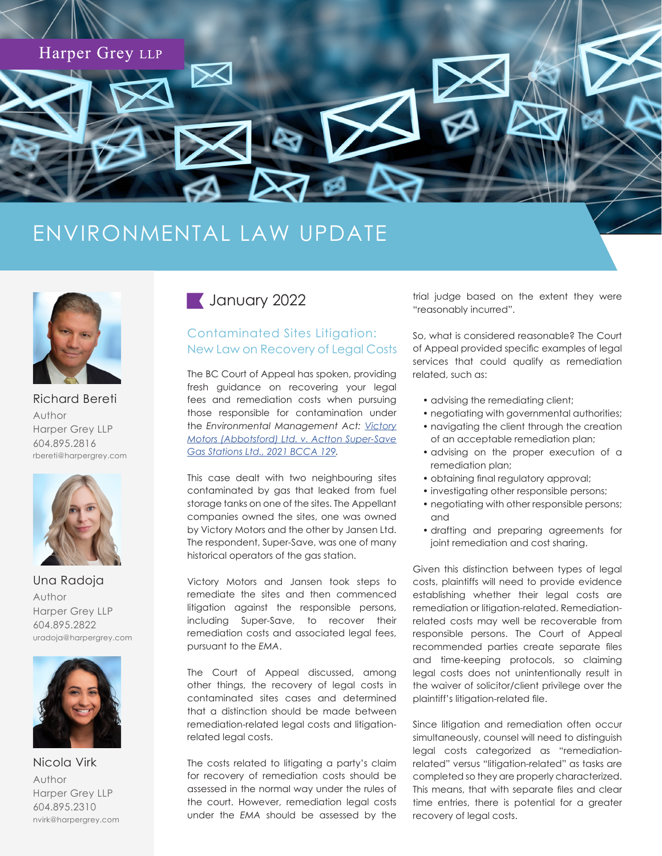

## ENVIRONMENTAL LAW UPDATE



Richard Bereti Author Harper Grey LLP 604.895.2816 rbereti[@harpergrey.com](mailto:away@harpergrey.com)



Una Radoja Author Harper Grey LLP 604.895.2822 uradoj[a@harpergrey.com](mailto:away@harpergrey.com)



Nicola Virk Author Harper Grey LLP 604.895.2310 nvirk[@harpergrey.com](mailto:away@harpergrey.com)

## **January 2022**

## Contaminated Sites Litigation: New Law on Recovery of Legal Costs

The BC Court of Appeal has spoken, providing fresh guidance on recovering your legal fees and remediation costs when pursuing those responsible for contamination under the *Environmental Management Act: [Victory](https://www.canlii.org/en/bc/bcca/doc/2021/2021bcca129/2021bcca129.html)  [Motors \(Abbotsford\) Ltd. v. Actton Super-Save](https://www.canlii.org/en/bc/bcca/doc/2021/2021bcca129/2021bcca129.html)  [Gas Stations Ltd., 2021 BCCA 129.](https://www.canlii.org/en/bc/bcca/doc/2021/2021bcca129/2021bcca129.html)*

This case dealt with two neighbouring sites contaminated by gas that leaked from fuel storage tanks on one of the sites. The Appellant companies owned the sites, one was owned by Victory Motors and the other by Jansen Ltd. The respondent, Super-Save, was one of many historical operators of the gas station.

Victory Motors and Jansen took steps to remediate the sites and then commenced litigation against the responsible persons, including Super-Save, to recover their remediation costs and associated legal fees, pursuant to the *EMA*.

The Court of Appeal discussed, among other things, the recovery of legal costs in contaminated sites cases and determined that a distinction should be made between remediation-related legal costs and litigationrelated legal costs.

The costs related to litigating a party's claim for recovery of remediation costs should be assessed in the normal way under the rules of the court. However, remediation legal costs under the *EMA* should be assessed by the

trial judge based on the extent they were "reasonably incurred".

So, what is considered reasonable? The Court of Appeal provided specific examples of legal services that could qualify as remediation related, such as:

- advising the remediating client;
- negotiating with governmental authorities;
- navigating the client through the creation of an acceptable remediation plan;
- advising on the proper execution of a remediation plan;
- obtaining final regulatory approval;
- investigating other responsible persons;
- negotiating with other responsible persons; and
- drafting and preparing agreements for joint remediation and cost sharing.

Given this distinction between types of legal costs, plaintiffs will need to provide evidence establishing whether their legal costs are remediation or litigation-related. Remediationrelated costs may well be recoverable from responsible persons. The Court of Appeal recommended parties create separate files and time-keeping protocols, so claiming legal costs does not unintentionally result in the waiver of solicitor/client privilege over the plaintiff's litigation-related file.

Since litigation and remediation often occur simultaneously, counsel will need to distinguish legal costs categorized as "remediationrelated" versus "litigation-related" as tasks are completed so they are properly characterized. This means, that with separate files and clear time entries, there is potential for a greater recovery of legal costs.